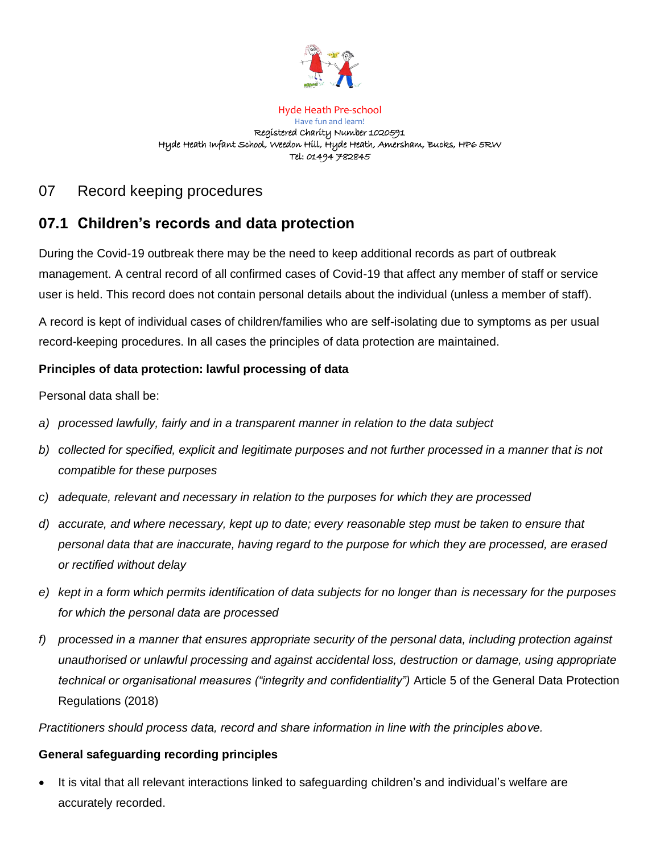

#### Hyde Heath Pre-school Have fun and learn! Registered Charity Number 1020591 Hyde Heath Infant School, Weedon Hill, Hyde Heath, Amersham, Bucks, HP6 5RW Tel: 01494 782845

# 07 Record keeping procedures

# **07.1 Children's records and data protection**

During the Covid-19 outbreak there may be the need to keep additional records as part of outbreak management. A central record of all confirmed cases of Covid-19 that affect any member of staff or service user is held. This record does not contain personal details about the individual (unless a member of staff).

A record is kept of individual cases of children/families who are self-isolating due to symptoms as per usual record-keeping procedures. In all cases the principles of data protection are maintained.

# **Principles of data protection: lawful processing of data**

Personal data shall be:

- *a) processed lawfully, fairly and in a transparent manner in relation to the data subject*
- *b) collected for specified, explicit and legitimate purposes and not further processed in a manner that is not compatible for these purposes*
- *c) adequate, relevant and necessary in relation to the purposes for which they are processed*
- *d) accurate, and where necessary, kept up to date; every reasonable step must be taken to ensure that personal data that are inaccurate, having regard to the purpose for which they are processed, are erased or rectified without delay*
- *e) kept in a form which permits identification of data subjects for no longer than is necessary for the purposes for which the personal data are processed*
- *f) processed in a manner that ensures appropriate security of the personal data, including protection against unauthorised or unlawful processing and against accidental loss, destruction or damage, using appropriate technical or organisational measures ("integrity and confidentiality")* Article 5 of the General Data Protection Regulations (2018)

*Practitioners should process data, record and share information in line with the principles above.*

## **General safeguarding recording principles**

It is vital that all relevant interactions linked to safeguarding children's and individual's welfare are accurately recorded.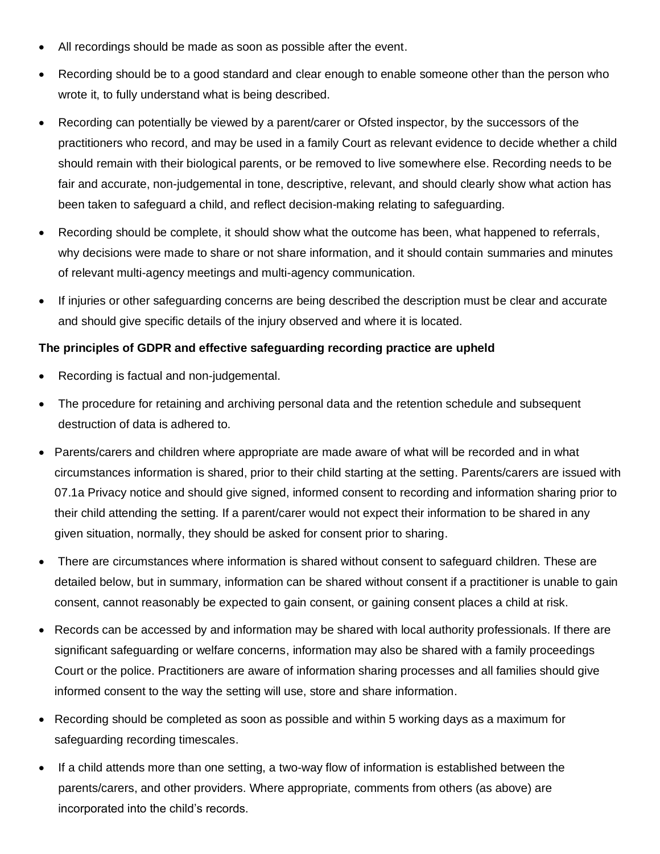- All recordings should be made as soon as possible after the event.
- Recording should be to a good standard and clear enough to enable someone other than the person who wrote it, to fully understand what is being described.
- Recording can potentially be viewed by a parent/carer or Ofsted inspector, by the successors of the practitioners who record, and may be used in a family Court as relevant evidence to decide whether a child should remain with their biological parents, or be removed to live somewhere else. Recording needs to be fair and accurate, non-judgemental in tone, descriptive, relevant, and should clearly show what action has been taken to safeguard a child, and reflect decision-making relating to safeguarding.
- Recording should be complete, it should show what the outcome has been, what happened to referrals, why decisions were made to share or not share information, and it should contain summaries and minutes of relevant multi-agency meetings and multi-agency communication.
- If injuries or other safeguarding concerns are being described the description must be clear and accurate and should give specific details of the injury observed and where it is located.

### **The principles of GDPR and effective safeguarding recording practice are upheld**

- Recording is factual and non-judgemental.
- The procedure for retaining and archiving personal data and the retention schedule and subsequent destruction of data is adhered to.
- Parents/carers and children where appropriate are made aware of what will be recorded and in what circumstances information is shared, prior to their child starting at the setting. Parents/carers are issued with 07.1a Privacy notice and should give signed, informed consent to recording and information sharing prior to their child attending the setting. If a parent/carer would not expect their information to be shared in any given situation, normally, they should be asked for consent prior to sharing.
- There are circumstances where information is shared without consent to safeguard children. These are detailed below, but in summary, information can be shared without consent if a practitioner is unable to gain consent, cannot reasonably be expected to gain consent, or gaining consent places a child at risk.
- Records can be accessed by and information may be shared with local authority professionals. If there are significant safeguarding or welfare concerns, information may also be shared with a family proceedings Court or the police. Practitioners are aware of information sharing processes and all families should give informed consent to the way the setting will use, store and share information.
- Recording should be completed as soon as possible and within 5 working days as a maximum for safeguarding recording timescales.
- If a child attends more than one setting, a two-way flow of information is established between the parents/carers, and other providers. Where appropriate, comments from others (as above) are incorporated into the child's records.